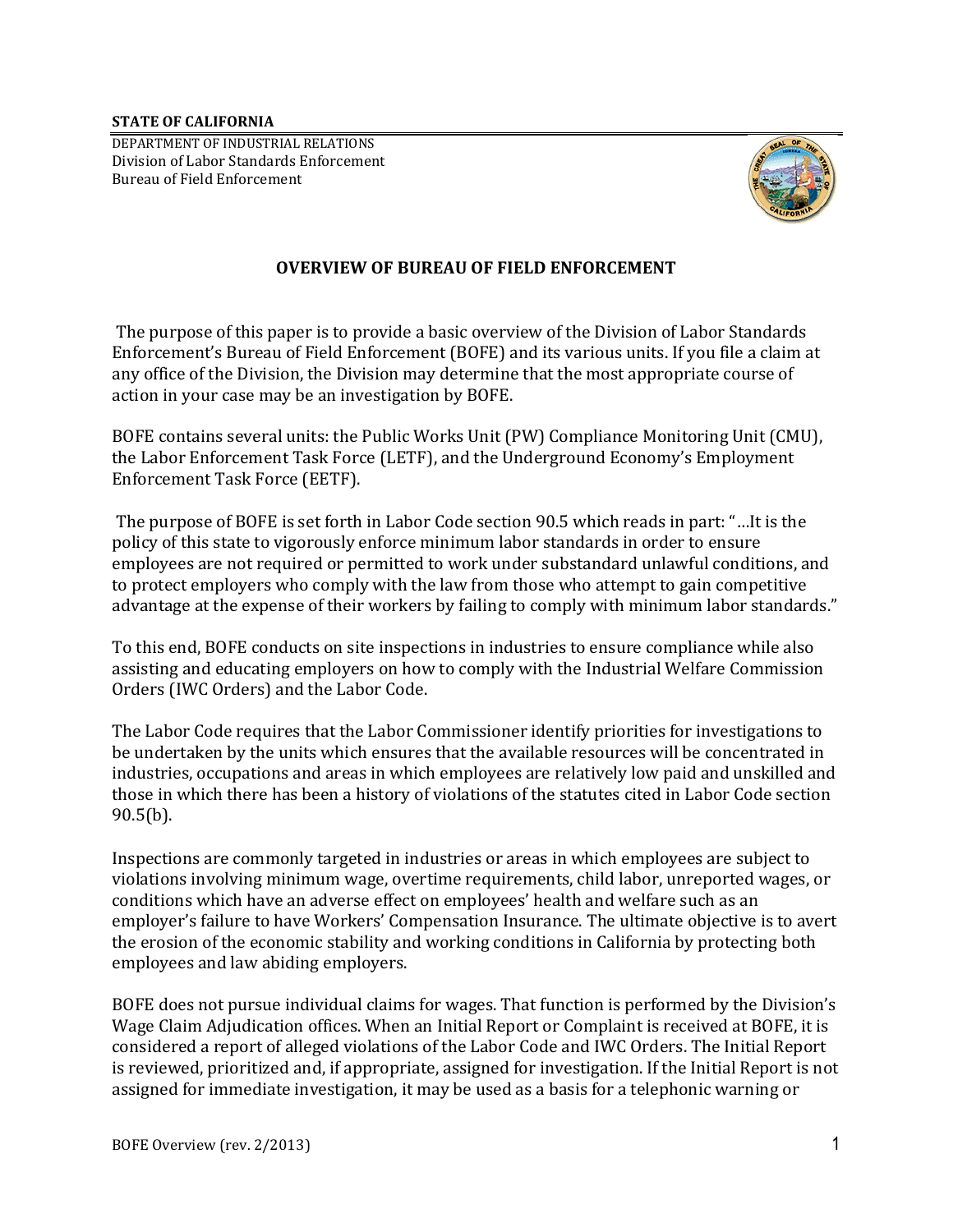**STATE OF CALIFORNIA** 

 DEPARTMENT OF INDUSTRIAL RELATIONS Division of Labor Standards Enforcement Bureau of Field Enforcement



## **OVERVIEW OF BUREAU OF FIELD ENFORCEMENT**

 action in your case may be an investigation by BOFE. The purpose of this paper is to provide a basic overview of the Division of Labor Standards Enforcement's Bureau of Field Enforcement (BOFE) and its various units. If you file a claim at any office of the Division, the Division may determine that the most appropriate course of

BOFE contains several units: the Public Works Unit (PW) Compliance Monitoring Unit (CMU), the Labor Enforcement Task Force (LETF), and the Underground Economy's Employment Enforcement Task Force (EETF).

The purpose of BOFE is set forth in Labor Code section 90.5 which reads in part: "…It is the policy of this state to vigorously enforce minimum labor standards in order to ensure employees are not required or permitted to work under substandard unlawful conditions, and to protect employers who comply with the law from those who attempt to gain competitive advantage at the expense of their workers by failing to comply with minimum labor standards."

Orders (IWC Orders) and the Labor Code. To this end, BOFE conducts on site inspections in industries to ensure compliance while also assisting and educating employers on how to comply with the Industrial Welfare Commission

The Labor Code requires that the Labor Commissioner identify priorities for investigations to be undertaken by the units which ensures that the available resources will be concentrated in industries, occupations and areas in which employees are relatively low paid and unskilled and those in which there has been a history of violations of the statutes cited in Labor Code section 90.5(b).

Inspections are commonly targeted in industries or areas in which employees are subject to violations involving minimum wage, overtime requirements, child labor, unreported wages, or conditions which have an adverse effect on employees' health and welfare such as an employer's failure to have Workers' Compensation Insurance. The ultimate objective is to avert the erosion of the economic stability and working conditions in California by protecting both employees and law abiding employers.

BOFE does not pursue individual claims for wages. That function is performed by the Division's Wage Claim Adjudication offices. When an Initial Report or Complaint is received at BOFE, it is considered a report of alleged violations of the Labor Code and IWC Orders. The Initial Report is reviewed, prioritized and, if appropriate, assigned for investigation. If the Initial Report is not assigned for immediate investigation, it may be used as a basis for a telephonic warning or